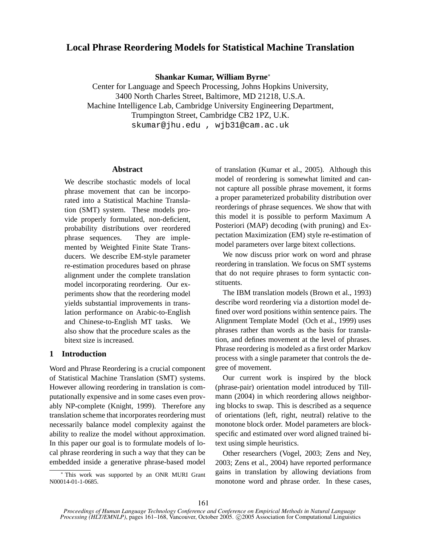# **Local Phrase Reordering Models for Statistical Machine Translation**

**Shankar Kumar, William Byrne**<sup>∗</sup>

Center for Language and Speech Processing, Johns Hopkins University, 3400 North Charles Street, Baltimore, MD 21218, U.S.A. Machine Intelligence Lab, Cambridge University Engineering Department, Trumpington Street, Cambridge CB2 1PZ, U.K. skumar@jhu.edu , wjb31@cam.ac.uk

# **Abstract**

We describe stochastic models of local phrase movement that can be incorporated into a Statistical Machine Translation (SMT) system. These models provide properly formulated, non-deficient, probability distributions over reordered phrase sequences. They are implemented by Weighted Finite State Transducers. We describe EM-style parameter re-estimation procedures based on phrase alignment under the complete translation model incorporating reordering. Our experiments show that the reordering model yields substantial improvements in translation performance on Arabic-to-English and Chinese-to-English MT tasks. We also show that the procedure scales as the bitext size is increased.

# **1 Introduction**

Word and Phrase Reordering is a crucial component of Statistical Machine Translation (SMT) systems. However allowing reordering in translation is computationally expensive and in some cases even provably NP-complete (Knight, 1999). Therefore any translation scheme that incorporates reordering must necessarily balance model complexity against the ability to realize the model without approximation. In this paper our goal is to formulate models of local phrase reordering in such a way that they can be embedded inside a generative phrase-based model

<sup>∗</sup> This work was supported by an ONR MURI Grant N00014-01-1-0685.

of translation (Kumar et al., 2005). Although this model of reordering is somewhat limited and cannot capture all possible phrase movement, it forms a proper parameterized probability distribution over reorderings of phrase sequences. We show that with this model it is possible to perform Maximum A Posteriori (MAP) decoding (with pruning) and Expectation Maximization (EM) style re-estimation of model parameters over large bitext collections.

We now discuss prior work on word and phrase reordering in translation. We focus on SMT systems that do not require phrases to form syntactic constituents.

The IBM translation models (Brown et al., 1993) describe word reordering via a distortion model defined over word positions within sentence pairs. The Alignment Template Model (Och et al., 1999) uses phrases rather than words as the basis for translation, and defines movement at the level of phrases. Phrase reordering is modeled as a first order Markov process with a single parameter that controls the degree of movement.

Our current work is inspired by the block (phrase-pair) orientation model introduced by Tillmann (2004) in which reordering allows neighboring blocks to swap. This is described as a sequence of orientations (left, right, neutral) relative to the monotone block order. Model parameters are blockspecific and estimated over word aligned trained bitext using simple heuristics.

Other researchers (Vogel, 2003; Zens and Ney, 2003; Zens et al., 2004) have reported performance gains in translation by allowing deviations from monotone word and phrase order. In these cases,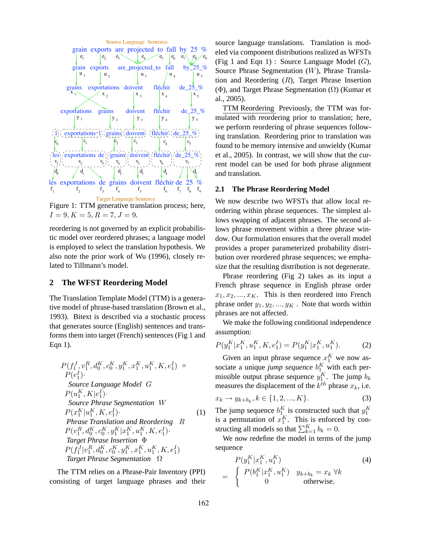

Figure 1: TTM generative translation process; here,  $I = 9, K = 5, R = 7, J = 9.$ 

reordering is not governed by an explicit probabilistic model over reordered phrases; a language model is employed to select the translation hypothesis. We also note the prior work of Wu (1996), closely related to Tillmann's model.

### **2 The WFST Reordering Model**

The Translation Template Model (TTM) is a generative model of phrase-based translation (Brown et al., 1993). Bitext is described via a stochastic process that generates source (English) sentences and transforms them into target (French) sentences (Fig 1 and Eqn 1).

$$
P(f_1^J, v_1^R, d_0^K, c_0^K, y_1^K, x_1^K, u_1^K, K, e_1^I) =
$$
  
\n
$$
P(e_1^I)
$$
  
\nSource Language Model G  
\n
$$
P(u_1^K, K|e_1^I)
$$
  
\nSource Phrase Segmentation W  
\n
$$
P(x_1^K|u_1^K, K, e_1^I)
$$
  
\nPhrase Translation and Reordering R  
\n
$$
P(v_1^R, d_0^K, c_0^K, y_1^K|x_1^K, u_1^K, K, e_1^I)
$$
  
\nTarget Phrase Insertion  $\Phi$   
\n
$$
P(f_1^I|v_1^R, d_0^K, c_0^K, y_1^K, x_1^K, u_1^K, K, e_1^I)
$$
  
\nTarget Phrase Segmentation  $\Omega$ 

The TTM relies on a Phrase-Pair Inventory (PPI) consisting of target language phrases and their source language translations. Translation is modeled via component distributions realized as WFSTs (Fig 1 and Eqn 1) : Source Language Model  $(G)$ , Source Phrase Segmentation (W), Phrase Translation and Reordering  $(R)$ , Target Phrase Insertion  $(\Phi)$ , and Target Phrase Segmentation  $(\Omega)$  (Kumar et al., 2005).

TTM Reordering Previously, the TTM was formulated with reordering prior to translation; here, we perform reordering of phrase sequences following translation. Reordering prior to translation was found to be memory intensive and unwieldy (Kumar et al., 2005). In contrast, we will show that the current model can be used for both phrase alignment and translation.

# **2.1 The Phrase Reordering Model**

We now describe two WFSTs that allow local reordering within phrase sequences. The simplest allows swapping of adjacent phrases. The second allows phrase movement within a three phrase window. Our formulation ensures that the overall model provides a proper parameterized probability distribution over reordered phrase sequences; we emphasize that the resulting distribution is not degenerate.

Phrase reordering (Fig 2) takes as its input a French phrase sequence in English phrase order  $x_1, x_2, \ldots, x_K$ . This is then reordered into French phrase order  $y_1, y_2, ..., y_K$ . Note that words within phrases are not affected.

We make the following conditional independence assumption:

$$
P(y_1^K | x_1^K, u_1^K, K, e_1^I) = P(y_1^K | x_1^K, u_1^K).
$$
 (2)

Given an input phrase sequence  $x_1^K$  we now associate a unique *jump sequence*  $b_1^K$  with each permissible output phrase sequence  $y_1^K$ . The jump  $b_k$ measures the displacement of the  $k^{th}$  phrase  $x_k$ , i.e.

$$
x_k \to y_{k+b_k}, k \in \{1, 2, ..., K\}.
$$
 (3)

The jump sequence  $b_1^K$  is constructed such that  $y_1^K$ is a permutation of  $x_1^K$ . This is enforced by constructing all models so that  $\sum_{k=1}^{K} b_k = 0$ .

We now redefine the model in terms of the jump sequence

$$
P(y_1^K | x_1^K, u_1^K)
$$
\n
$$
= \begin{cases}\nP(b_1^K | x_1^K, u_1^K) & y_{k+b_k} = x_k \ \forall k \\
0 & \text{otherwise,} \end{cases}
$$
\n(4)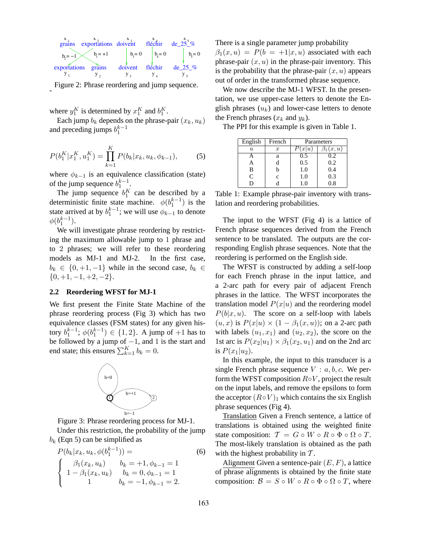

Figure 2: Phrase reordering and jump sequence.

where  $y_1^K$  is determined by  $x_1^K$  and  $b_1^K$ .

-

Each jump  $b_k$  depends on the phrase-pair  $(x_k, u_k)$ and preceding jumps  $b_1^{k-1}$ 

$$
P(b_1^K | x_1^K, u_1^K) = \prod_{k=1}^K P(b_k | x_k, u_k, \phi_{k-1}), \tag{5}
$$

where  $\phi_{k-1}$  is an equivalence classification (state) of the jump sequence  $b_1^{k-1}$ .

The jump sequence  $b_1^K$  can be described by a deterministic finite state machine.  $\phi(b_1^{k-1})$  is the state arrived at by  $b_1^{k-1}$ ; we will use  $\phi_{k-1}$  to denote  $\phi(b_1^{k-1}).$ 

We will investigate phrase reordering by restricting the maximum allowable jump to 1 phrase and to 2 phrases; we will refer to these reordering models as MJ-1 and MJ-2. In the first case,  $b_k \in \{0, +1, -1\}$  while in the second case,  $b_k \in$  ${0, +1, -1, +2, -2}.$ 

### **2.2 Reordering WFST for MJ-1**

We first present the Finite State Machine of the phrase reordering process (Fig 3) which has two equivalence classes (FSM states) for any given history  $b_1^{k-1}$ ;  $\phi(b_1^{k-1}) \in \{1, 2\}$ . A jump of +1 has to be followed by a jump of  $-1$ , and 1 is the start and end state; this ensures  $\sum_{k=1}^{K} b_k = 0$ .



Figure 3: Phrase reordering process for MJ-1.

Under this restriction, the probability of the jump  $b_k$  (Eqn 5) can be simplified as

$$
P(b_k|x_k, u_k, \phi(b_1^{k-1})) =
$$
\n
$$
\begin{cases}\n\beta_1(x_k, u_k) & b_k = +1, \phi_{k-1} = 1 \\
1 - \beta_1(x_k, u_k) & b_k = 0, \phi_{k-1} = 1 \\
1 & b_k = -1, \phi_{k-1} = 2.\n\end{cases}
$$
\n(6)

There is a single parameter jump probability  $\beta_1(x, u) = P(b = +1|x, u)$  associated with each phrase-pair  $(x, u)$  in the phrase-pair inventory. This is the probability that the phrase-pair  $(x, u)$  appears out of order in the transformed phrase sequence.

We now describe the MJ-1 WFST. In the presentation, we use upper-case letters to denote the English phrases  $(u_k)$  and lower-case letters to denote the French phrases  $(x_k$  and  $y_k$ ).

The PPI for this example is given in Table 1.

| English             | French           | Parameters |          |  |  |  |
|---------------------|------------------|------------|----------|--|--|--|
| $\boldsymbol{\eta}$ | $\boldsymbol{x}$ | x u        | x, u     |  |  |  |
|                     | a                | 0.5        | 0.2      |  |  |  |
| А                   | d                | 0.5        | 0.2      |  |  |  |
| B                   | h                | 1.0        | 0.4      |  |  |  |
| C                   | $\mathbf{c}$     | 1.0        | 0.3      |  |  |  |
|                     |                  | 1.0        | $_{0.8}$ |  |  |  |

Table 1: Example phrase-pair inventory with translation and reordering probabilities.

The input to the WFST (Fig 4) is a lattice of French phrase sequences derived from the French sentence to be translated. The outputs are the corresponding English phrase sequences. Note that the reordering is performed on the English side.

The WFST is constructed by adding a self-loop for each French phrase in the input lattice, and a 2-arc path for every pair of adjacent French phrases in the lattice. The WFST incorporates the translation model  $P(x|u)$  and the reordering model  $P(b|x, u)$ . The score on a self-loop with labels  $(u, x)$  is  $P(x|u) \times (1 - \beta_1(x, u))$ ; on a 2-arc path with labels  $(u_1, x_1)$  and  $(u_2, x_2)$ , the score on the 1st arc is  $P(x_2|u_1) \times \beta_1(x_2, u_1)$  and on the 2nd arc is  $P(x_1|u_2)$ .

In this example, the input to this transducer is a single French phrase sequence  $V : a, b, c$ . We perform the WFST composition  $R \circ V$ , project the result on the input labels, and remove the epsilons to form the acceptor  $(R \circ V)_1$  which contains the six English phrase sequences (Fig 4).

Translation Given a French sentence, a lattice of translations is obtained using the weighted finite state composition:  $\mathcal{T} = G \circ W \circ R \circ \Phi \circ \Omega \circ T$ . The most-likely translation is obtained as the path with the highest probability in  $T$ .

Alignment Given a sentence-pair  $(E, F)$ , a lattice of phrase alignments is obtained by the finite state composition:  $\mathcal{B} = S \circ W \circ R \circ \Phi \circ \Omega \circ T$ , where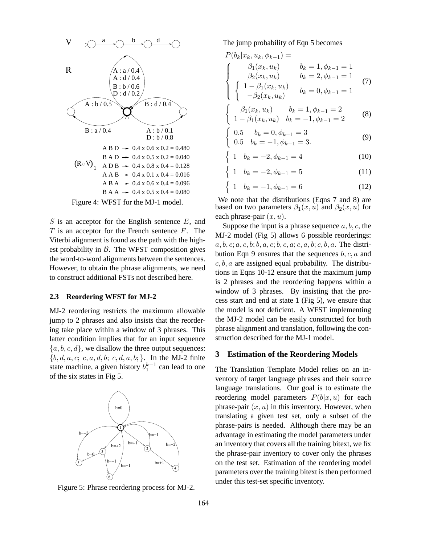

 $S$  is an acceptor for the English sentence  $E$ , and  $T$  is an acceptor for the French sentence  $F$ . The Viterbi alignment is found as the path with the highest probability in  $\beta$ . The WFST composition gives the word-to-word alignments between the sentences. However, to obtain the phrase alignments, we need to construct additional FSTs not described here.

#### **2.3 Reordering WFST for MJ-2**

MJ-2 reordering restricts the maximum allowable jump to 2 phrases and also insists that the reordering take place within a window of 3 phrases. This latter condition implies that for an input sequence  ${a, b, c, d}$ , we disallow the three output sequences:  $\{b, d, a, c; c, a, d, b; c, d, a, b; \}$ . In the MJ-2 finite state machine, a given history  $b_1^{k-1}$  can lead to one of the six states in Fig 5.



Figure 5: Phrase reordering process for MJ-2.

The jump probability of Eqn 5 becomes

$$
P(b_k|x_k, u_k, \phi_{k-1}) =
$$
\n
$$
\begin{cases}\n\beta_1(x_k, u_k) & b_k = 1, \phi_{k-1} = 1 \\
\beta_2(x_k, u_k) & b_k = 2, \phi_{k-1} = 1 \\
\begin{cases}\n1 - \beta_1(x_k, u_k) & b_k = 0, \phi_{k-1} = 1 \\
-\beta_2(x_k, u_k) & b_k = 1, \phi_{k-1} = 2\n\end{cases}\n\end{cases}
$$
\n(7)

$$
\begin{cases}\n\frac{\beta_1(x_k, u_k)}{1 - \beta_1(x_k, u_k)} & b_k = -1, \phi_{k-1} = 2 \\
1 - \beta_1(x_k, u_k) & b_k = -1, \phi_{k-1} = 2\n\end{cases}
$$
\n(8)

$$
\begin{array}{ll}\n0.5 & b_k = 0, \phi_{k-1} = 3 \\
0.5 & b_k = -1, \phi_{k-1} = 3.\n\end{array} \tag{9}
$$

$$
\begin{cases} 1 & b_k = -2, \phi_{k-1} = 4 \end{cases}
$$
 (10)

$$
1 \quad b_k = -2, \phi_{k-1} = 5 \tag{11}
$$

$$
\begin{cases} 1 & b_k = -1, \phi_{k-1} = 6 \end{cases}
$$
 (12)

We note that the distributions (Eqns 7 and 8) are based on two parameters  $\beta_1(x, u)$  and  $\beta_2(x, u)$  for each phrase-pair  $(x, u)$ .

n

Suppose the input is a phrase sequence  $a, b, c$ , the MJ-2 model (Fig 5) allows 6 possible reorderings:  $a, b, c; a, c, b; b, a, c; b, c, a; c, a, b; c, b, a$ . The distribution Eqn 9 ensures that the sequences  $b, c, a$  and  $c, b, a$  are assigned equal probability. The distributions in Eqns 10-12 ensure that the maximum jump is 2 phrases and the reordering happens within a window of 3 phrases. By insisting that the process start and end at state 1 (Fig 5), we ensure that the model is not deficient. A WFST implementing the MJ-2 model can be easily constructed for both phrase alignment and translation, following the construction described for the MJ-1 model.

#### **3 Estimation of the Reordering Models**

The Translation Template Model relies on an inventory of target language phrases and their source language translations. Our goal is to estimate the reordering model parameters  $P(b|x, u)$  for each phrase-pair  $(x, u)$  in this inventory. However, when translating a given test set, only a subset of the phrase-pairs is needed. Although there may be an advantage in estimating the model parameters under an inventory that covers all the training bitext, we fix the phrase-pair inventory to cover only the phrases on the test set. Estimation of the reordering model parameters over the training bitext is then performed under this test-set specific inventory.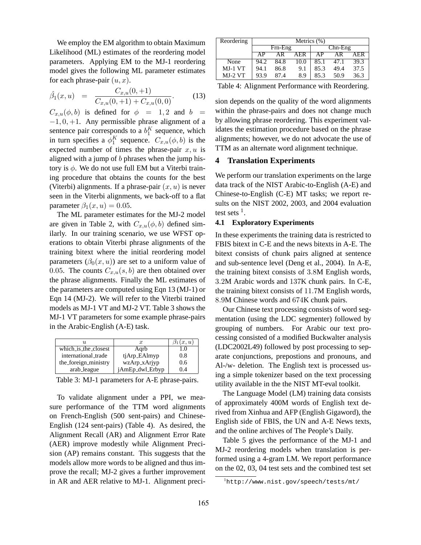We employ the EM algorithm to obtain Maximum Likelihood (ML) estimates of the reordering model parameters. Applying EM to the MJ-1 reordering model gives the following ML parameter estimates for each phrase-pair  $(u, x)$ .

$$
\hat{\beta}_1(x, u) = \frac{C_{x, u}(0, +1)}{C_{x, u}(0, +1) + C_{x, u}(0, 0)}.
$$
\n(13)

 $C_{x,u}(\phi, b)$  is defined for  $\phi = 1, 2$  and  $b =$  $-1, 0, +1$ . Any permissible phrase alignment of a sentence pair corresponds to a  $b_1^K$  sequence, which in turn specifies a  $\phi_1^K$  sequence.  $C_{x,u}(\phi, b)$  is the expected number of times the phrase-pair  $x, u$  is aligned with a jump of b phrases when the jump history is  $\phi$ . We do not use full EM but a Viterbi training procedure that obtains the counts for the best (Viterbi) alignments. If a phrase-pair  $(x, u)$  is never seen in the Viterbi alignments, we back-off to a flat parameter  $\beta_1(x, u) = 0.05$ .

The ML parameter estimates for the MJ-2 model are given in Table 2, with  $C_{x,u}(\phi, b)$  defined similarly. In our training scenario, we use WFST operations to obtain Viterbi phrase alignments of the training bitext where the initial reordering model parameters  $(\beta_0(x, u))$  are set to a uniform value of 0.05. The counts  $C_{x,u}(s, b)$  are then obtained over the phrase alignments. Finally the ML estimates of the parameters are computed using Eqn 13 (MJ-1) or Eqn 14 (MJ-2). We will refer to the Viterbi trained models as MJ-1 VT and MJ-2 VT. Table 3 shows the MJ-1 VT parameters for some example phrase-pairs in the Arabic-English (A-E) task.

| II.                  | $\boldsymbol{x}$ | (x, u) |
|----------------------|------------------|--------|
| which_is_the_closest | Agrb             | 1.0    |
| international_trade  | tjArp_EAlmyp     | 0.8    |
| the_foreign_ministry | wzArp_xArjyp     | 0.6    |
| arab_league          | jAmEp_dwl_Erbyp  | 14     |

Table 3: MJ-1 parameters for A-E phrase-pairs.

To validate alignment under a PPI, we measure performance of the TTM word alignments on French-English (500 sent-pairs) and Chinese-English (124 sent-pairs) (Table 4). As desired, the Alignment Recall (AR) and Alignment Error Rate (AER) improve modestly while Alignment Precision (AP) remains constant. This suggests that the models allow more words to be aligned and thus improve the recall; MJ-2 gives a further improvement in AR and AER relative to MJ-1. Alignment preci-

| Reordering | Metrics $(\%)$ |         |      |      |           |      |  |
|------------|----------------|---------|------|------|-----------|------|--|
|            |                | Frn-Eng |      |      | $Chn-Eng$ |      |  |
|            | ΔP             | ΑR      | AER  | ΑP   | ΔR        | AFR  |  |
| None       | 94.2           | 84.8    | 10.0 | 85.1 | 47.1      | 39.3 |  |
| $MJ-1 VT$  | 94.1           | 86.8    | 9.1  | 85.3 | 49.4      | 37.5 |  |
| $MJ-2 VT$  | 93.9           | 87.4    | 8.9  | 85.3 | 50.9      | 36.3 |  |

Table 4: Alignment Performance with Reordering.

sion depends on the quality of the word alignments within the phrase-pairs and does not change much by allowing phrase reordering. This experiment validates the estimation procedure based on the phrase alignments; however, we do not advocate the use of TTM as an alternate word alignment technique.

# **4 Translation Experiments**

We perform our translation experiments on the large data track of the NIST Arabic-to-English (A-E) and Chinese-to-English (C-E) MT tasks; we report results on the NIST 2002, 2003, and 2004 evaluation test sets  $<sup>1</sup>$ .</sup>

#### **4.1 Exploratory Experiments**

In these experiments the training data is restricted to FBIS bitext in C-E and the news bitexts in A-E. The bitext consists of chunk pairs aligned at sentence and sub-sentence level (Deng et al., 2004). In A-E, the training bitext consists of 3.8M English words, 3.2M Arabic words and 137K chunk pairs. In C-E, the training bitext consists of 11.7M English words, 8.9M Chinese words and 674K chunk pairs.

Our Chinese text processing consists of word segmentation (using the LDC segmenter) followed by grouping of numbers. For Arabic our text processing consisted of a modified Buckwalter analysis (LDC2002L49) followed by post processing to separate conjunctions, prepostions and pronouns, and Al-/w- deletion. The English text is processed using a simple tokenizer based on the text processing utility available in the the NIST MT-eval toolkit.

The Language Model (LM) training data consists of approximately 400M words of English text derived from Xinhua and AFP (English Gigaword), the English side of FBIS, the UN and A-E News texts, and the online archives of The People's Daily.

Table 5 gives the performance of the MJ-1 and MJ-2 reordering models when translation is performed using a 4-gram LM. We report performance on the 02, 03, 04 test sets and the combined test set

<sup>1</sup>http://www.nist.gov/speech/tests/mt/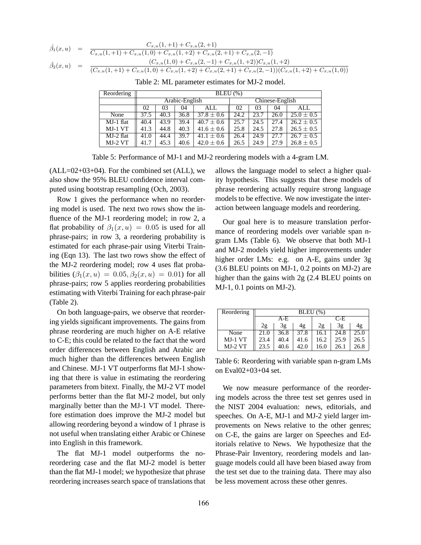$$
\hat{\beta}_1(x, u) = \frac{C_{x, u}(1, u) + C_{x, u}(2, u)}{C_{x, u}(1, u) + C_{x, u}(1, 0) + C_{x, u}(1, u) + C_{x, u}(2, u) + C_{x, u}(2, u) + C_{x, u}(2, u)} \n\hat{\beta}_2(x, u) = \frac{(C_{x, u}(1, 0) + C_{x, u}(2, -1) + C_{x, u}(1, u))C_{x, u}(1, u)}{(C_{x, u}(1, u) + C_{x, u}(1, 0) + C_{x, u}(1, u) + C_{x, u}(2, u) + C_{x, u}(2, u) + C_{x, u}(2, u) + C_{x, u}(2, u) + C_{x, u}(2, u) + C_{x, u}(2, u) + C_{x, u}(2, u) + C_{x, u}(2, u) + C_{x, u}(2, u) + C_{x, u}(2, u) + C_{x, u}(2, u) + C_{x, u}(2, u) + C_{x, u}(2, u) + C_{x, u}(2, u) + C_{x, u}(2, u) + C_{x, u}(2, u) + C_{x, u}(2, u) + C_{x, u}(2, u) + C_{x, u}(2, u) + C_{x, u}(2, u) + C_{x, u}(2, u) + C_{x, u}(2, u) + C_{x, u}(2, u) + C_{x, u}(2, u) + C_{x, u}(2, u) + C_{x, u}(2, u) + C_{x, u}(2, u) + C_{x, u}(2, u) + C_{x, u}(2, u) + C_{x, u}(2, u) + C_{x, u}(2, u) + C_{x, u}(2, u) + C_{x, u}(2, u) + C_{x, u}(2, u) + C_{x, u}(2, u) + C_{x, u}(2, u) + C_{x, u}(2, u) + C_{x, u}(2, u) + C_{x, u}(2, u) + C_{x, u}(2, u) + C_{x, u}(2, u) + C_{x, u}(2, u) + C_{x, u}(2, u) + C_{x, u}(2, u) + C_{x, u}(2, u) + C_{x, u}(2, u) + C_{x, u}(2, u) + C_{x, u}(2, u) + C_{x, u}(2, u) + C_{x, u}(2, u) + C_{x, u}(2, u) +
$$

| Reordering | $BLEU(\%)$ |                 |      |                |                 |      |      |                |
|------------|------------|-----------------|------|----------------|-----------------|------|------|----------------|
|            |            | Arabic-English  |      |                | Chinese-English |      |      |                |
|            | 02         | 03<br>04<br>ALL |      |                | 02              | 03   | 04   | ALL            |
| None       | 37.5       | 40.3            | 36.8 | $37.8 \pm 0.6$ | 24.2            | 23.7 | 26.0 | $25.0 \pm 0.5$ |
| MJ-1 flat  | 40.4       | 43.9            | 39.4 | $40.7 \pm 0.6$ | 25.7            | 24.5 | 27.4 | $26.2 \pm 0.5$ |
| MJ-1 VT    | 41.3       | 44.8            | 40.3 | $41.6 \pm 0.6$ | 25.8            | 24.5 | 27.8 | $26.5 \pm 0.5$ |
| MJ-2 flat  | 41.0       | 44.4            | 39.7 | $41.1 \pm 0.6$ | 26.4            | 24.9 | 27.7 | $26.7 \pm 0.5$ |
| $MJ-2VT$   | 41.7       | 45.3            | 40.6 | $42.0 \pm 0.6$ | 26.5            | 24.9 | 27.9 | $26.8 \pm 0.5$ |

Table 2: ML parameter estimates for MJ-2 model.

Table 5: Performance of MJ-1 and MJ-2 reordering models with a 4-gram LM.

 $(ALL=02+03+04)$ . For the combined set  $(ALL)$ , we also show the 95% BLEU confidence interval computed using bootstrap resampling (Och, 2003).

Row 1 gives the performance when no reordering model is used. The next two rows show the influence of the MJ-1 reordering model; in row 2, a flat probability of  $\beta_1(x, u) = 0.05$  is used for all phrase-pairs; in row 3, a reordering probability is estimated for each phrase-pair using Viterbi Training (Eqn 13). The last two rows show the effect of the MJ-2 reordering model; row 4 uses flat probabilities  $(\beta_1(x, u) = 0.05, \beta_2(x, u) = 0.01)$  for all phrase-pairs; row 5 applies reordering probabilities estimating with Viterbi Training for each phrase-pair (Table 2).

On both language-pairs, we observe that reordering yields significant improvements. The gains from phrase reordering are much higher on A-E relative to C-E; this could be related to the fact that the word order differences between English and Arabic are much higher than the differences between English and Chinese. MJ-1 VT outperforms flat MJ-1 showing that there is value in estimating the reordering parameters from bitext. Finally, the MJ-2 VT model performs better than the flat MJ-2 model, but only marginally better than the MJ-1 VT model. Therefore estimation does improve the MJ-2 model but allowing reordering beyond a window of 1 phrase is not useful when translating either Arabic or Chinese into English in this framework.

The flat MJ-1 model outperforms the noreordering case and the flat MJ-2 model is better than the flat MJ-1 model; we hypothesize that phrase reordering increases search space of translations that allows the language model to select a higher quality hypothesis. This suggests that these models of phrase reordering actually require strong language models to be effective. We now investigate the interaction between language models and reordering.

Our goal here is to measure translation performance of reordering models over variable span ngram LMs (Table 6). We observe that both MJ-1 and MJ-2 models yield higher improvements under higher order LMs: e.g. on A-E, gains under 3g (3.6 BLEU points on MJ-1, 0.2 points on MJ-2) are higher than the gains with 2g (2.4 BLEU points on MJ-1, 0.1 points on MJ-2).

| Reordering | $BLEU(\%)$     |      |      |      |      |      |  |
|------------|----------------|------|------|------|------|------|--|
|            | A-E            |      |      |      | C-E  |      |  |
|            | 3g<br>2g<br>4g |      |      | 2g   | 3g   | 4g   |  |
| None       | 21.0           | 36.8 | 37.8 | 16.1 | 24.8 | 25.0 |  |
| $MJ-1VT$   | 23.4           | 40.4 | 41.6 | 16.2 | 25.9 | 26.5 |  |
| $MJ-2VT$   | 23.5           | 40.6 | 42.0 | 16.0 | 26.1 | 26.8 |  |

Table 6: Reordering with variable span n-gram LMs on Eval02+03+04 set.

We now measure performance of the reordering models across the three test set genres used in the NIST 2004 evaluation: news, editorials, and speeches. On A-E, MJ-1 and MJ-2 yield larger improvements on News relative to the other genres; on C-E, the gains are larger on Speeches and Editorials relative to News. We hypothesize that the Phrase-Pair Inventory, reordering models and language models could all have been biased away from the test set due to the training data. There may also be less movement across these other genres.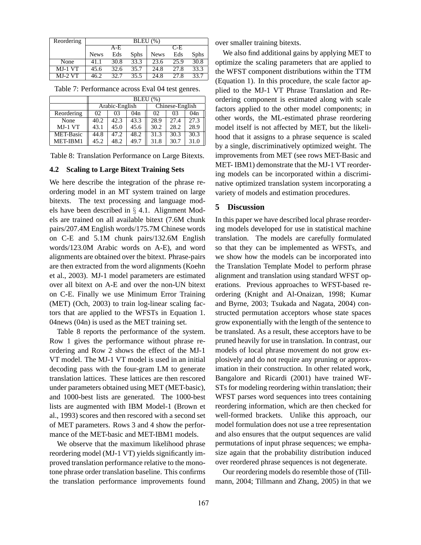| Reordering | BLEU(%)     |      |             |             |       |             |  |
|------------|-------------|------|-------------|-------------|-------|-------------|--|
|            | $A-E$       |      |             |             | $C-F$ |             |  |
|            | <b>News</b> | Eds  | <b>Sphs</b> | <b>News</b> | Eds   | <b>Sphs</b> |  |
| None       | 41.1        | 30.8 | 33.3        | 23.6        | 25.9  | 30.8        |  |
| $MJ-1VT$   | 45.6        | 32.6 | 35.7        | 24.8        | 27.8  | 33.3        |  |
| $MJ-2VT$   | 46.2        | 32.7 | 35.5        | 24.8        | 27.8  | 33.7        |  |

|  | Table 7: Performance across Eval 04 test genres. |  |  |
|--|--------------------------------------------------|--|--|
|--|--------------------------------------------------|--|--|

|                  | $BLEU$ $(\%)$ |                |      |      |                 |      |  |
|------------------|---------------|----------------|------|------|-----------------|------|--|
|                  |               | Arabic-English |      |      | Chinese-English |      |  |
| Reordering       | 02            | 03             | 04n  | 02   | 03              | 04n  |  |
| None             | 40.2          | 42.3           | 43.3 | 28.9 | 27.4            | 27.3 |  |
| $MJ-1 VT$        | 43.1          | 45.0           | 45.6 | 30.2 | 28.2            | 28.9 |  |
| <b>MET-Basic</b> | 44.8          | 47.2           | 48.2 | 31.3 | 30.3            | 30.3 |  |
| MET-IBM1         | 45.2          | 48.2           | 49.7 | 31.8 | 30.7            | 31.0 |  |

Table 8: Translation Performance on Large Bitexts.

### **4.2 Scaling to Large Bitext Training Sets**

We here describe the integration of the phrase reordering model in an MT system trained on large bitexts. The text processing and language models have been described in § 4.1. Alignment Models are trained on all available bitext (7.6M chunk pairs/207.4M English words/175.7M Chinese words on C-E and 5.1M chunk pairs/132.6M English words/123.0M Arabic words on A-E), and word alignments are obtained over the bitext. Phrase-pairs are then extracted from the word alignments (Koehn et al., 2003). MJ-1 model parameters are estimated over all bitext on A-E and over the non-UN bitext on C-E. Finally we use Minimum Error Training (MET) (Och, 2003) to train log-linear scaling factors that are applied to the WFSTs in Equation 1. 04news (04n) is used as the MET training set.

Table 8 reports the performance of the system. Row 1 gives the performance without phrase reordering and Row 2 shows the effect of the MJ-1 VT model. The MJ-1 VT model is used in an initial decoding pass with the four-gram LM to generate translation lattices. These lattices are then rescored under parameters obtained using MET (MET-basic), and 1000-best lists are generated. The 1000-best lists are augmented with IBM Model-1 (Brown et al., 1993) scores and then rescored with a second set of MET parameters. Rows 3 and 4 show the performance of the MET-basic and MET-IBM1 models.

We observe that the maximum likelihood phrase reordering model (MJ-1 VT) yields significantly improved translation performance relative to the monotone phrase order translation baseline. This confirms the translation performance improvements found

over smaller training bitexts.

We also find additional gains by applying MET to optimize the scaling parameters that are applied to the WFST component distributions within the TTM (Equation 1). In this procedure, the scale factor applied to the MJ-1 VT Phrase Translation and Reordering component is estimated along with scale factors applied to the other model components; in other words, the ML-estimated phrase reordering model itself is not affected by MET, but the likelihood that it assigns to a phrase sequence is scaled by a single, discriminatively optimized weight. The improvements from MET (see rows MET-Basic and MET- IBM1) demonstrate that the MJ-1 VT reordering models can be incorporated within a discriminative optimized translation system incorporating a variety of models and estimation procedures.

# **5 Discussion**

In this paper we have described local phrase reordering models developed for use in statistical machine translation. The models are carefully formulated so that they can be implemented as WFSTs, and we show how the models can be incorporated into the Translation Template Model to perform phrase alignment and translation using standard WFST operations. Previous approaches to WFST-based reordering (Knight and Al-Onaizan, 1998; Kumar and Byrne, 2003; Tsukada and Nagata, 2004) constructed permutation acceptors whose state spaces grow exponentially with the length of the sentence to be translated. As a result, these acceptors have to be pruned heavily for use in translation. In contrast, our models of local phrase movement do not grow explosively and do not require any pruning or approximation in their construction. In other related work, Bangalore and Ricardi (2001) have trained WF-STs for modeling reordering within translation; their WFST parses word sequences into trees containing reordering information, which are then checked for well-formed brackets. Unlike this approach, our model formulation does not use a tree representation and also ensures that the output sequences are valid permutations of input phrase sequences; we emphasize again that the probability distribution induced over reordered phrase sequences is not degenerate.

Our reordering models do resemble those of (Tillmann, 2004; Tillmann and Zhang, 2005) in that we